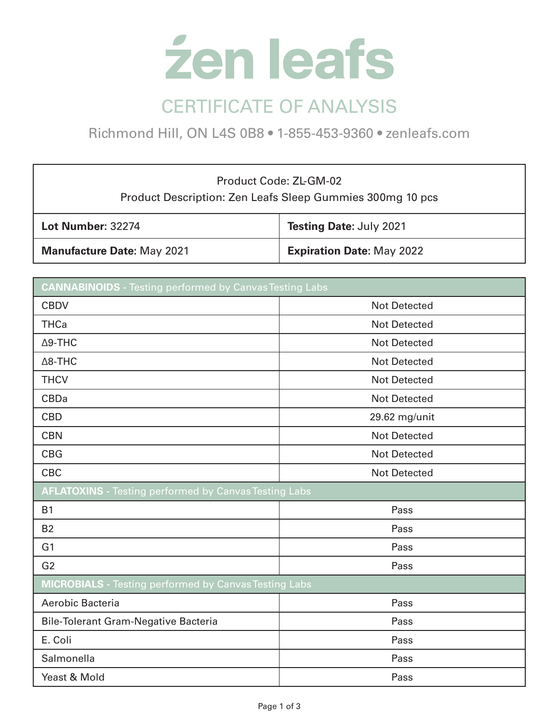

Richmond Hill, ON L4S 0B8 • 1-855-453-9360 • zenleafs.com

## Product Code: ZL-GM-02 Product Description: Zen Leafs Sleep Gummies 300mg 10 pcs

| <b>Lot Number: 32274</b>          | Testing Date: July 2021          |
|-----------------------------------|----------------------------------|
| <b>Manufacture Date: May 2021</b> | <b>Expiration Date: May 2022</b> |

| <b>CANNABINOIDS</b> - Testing performed by Canvas Testing Labs |                     |  |
|----------------------------------------------------------------|---------------------|--|
| <b>CBDV</b>                                                    | <b>Not Detected</b> |  |
| <b>THCa</b>                                                    | <b>Not Detected</b> |  |
| $\Delta$ 9-THC                                                 | <b>Not Detected</b> |  |
| $\Delta$ 8-THC                                                 | <b>Not Detected</b> |  |
| <b>THCV</b>                                                    | <b>Not Detected</b> |  |
| <b>CBDa</b>                                                    | <b>Not Detected</b> |  |
| <b>CBD</b>                                                     | 29.62 mg/unit       |  |
| <b>CBN</b>                                                     | <b>Not Detected</b> |  |
| <b>CBG</b>                                                     | <b>Not Detected</b> |  |
| <b>CBC</b>                                                     | <b>Not Detected</b> |  |
| <b>AFLATOXINS</b> - Testing performed by Canvas Testing Labs   |                     |  |
| <b>B1</b>                                                      | Pass                |  |
| <b>B2</b>                                                      | Pass                |  |
| G <sub>1</sub>                                                 | Pass                |  |
| G <sub>2</sub>                                                 | Pass                |  |
| <b>MICROBIALS</b> - Testing performed by Canvas Testing Labs   |                     |  |
| Aerobic Bacteria                                               | Pass                |  |
| <b>Bile-Tolerant Gram-Negative Bacteria</b>                    | Pass                |  |
| E. Coli                                                        | Pass                |  |
| Salmonella                                                     | Pass                |  |
| Yeast & Mold                                                   | Pass                |  |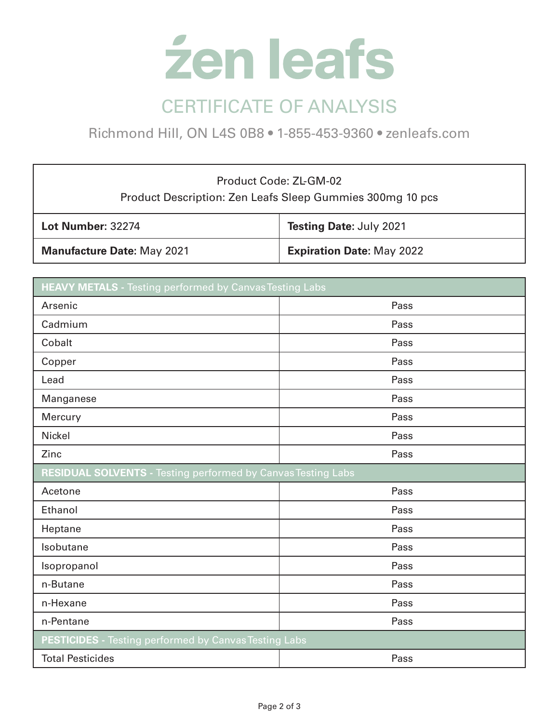

Richmond Hill, ON L4S 0B8 • 1-855-453-9360 • zenleafs.com

## Product Code: ZL-GM-02 Product Description: Zen Leafs Sleep Gummies 300mg 10 pcs

| <b>Lot Number: 32274</b>          | <b>Testing Date: July 2021</b>   |
|-----------------------------------|----------------------------------|
| <b>Manufacture Date: May 2021</b> | <b>Expiration Date: May 2022</b> |

| <b>HEAVY METALS</b> - Testing performed by Canvas Testing Labs      |      |  |
|---------------------------------------------------------------------|------|--|
| Arsenic                                                             | Pass |  |
| Cadmium                                                             | Pass |  |
| Cobalt                                                              | Pass |  |
| Copper                                                              | Pass |  |
| Lead                                                                | Pass |  |
| Manganese                                                           | Pass |  |
| Mercury                                                             | Pass |  |
| Nickel                                                              | Pass |  |
| Zinc                                                                | Pass |  |
| <b>RESIDUAL SOLVENTS - Testing performed by Canvas Testing Labs</b> |      |  |
| Acetone                                                             | Pass |  |
| Ethanol                                                             | Pass |  |
| Heptane                                                             | Pass |  |
| Isobutane                                                           | Pass |  |
| Isopropanol                                                         | Pass |  |
| n-Butane                                                            | Pass |  |
| n-Hexane                                                            | Pass |  |
| n-Pentane                                                           | Pass |  |
| PESTICIDES - Testing performed by Canvas Testing Labs               |      |  |
| <b>Total Pesticides</b>                                             | Pass |  |